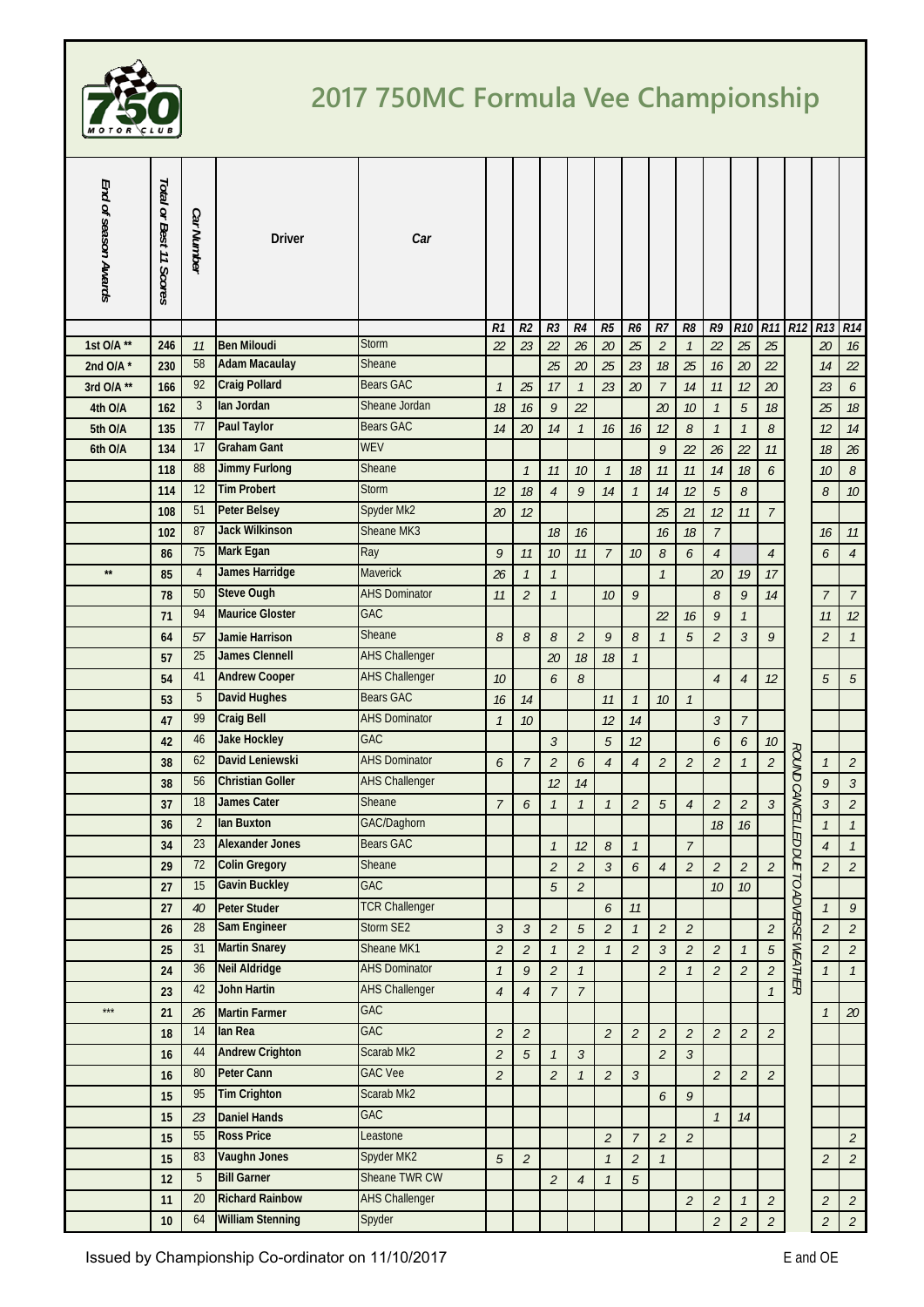

## **2017 750MC Formula Vee Championship**

| End of season Awards | Total or Best 11 Scores | Car Number      | <b>Driver</b>           | Car                   |                           |                |                |                |                |                |                |                |                             |                |                             |                        |                 |                  |
|----------------------|-------------------------|-----------------|-------------------------|-----------------------|---------------------------|----------------|----------------|----------------|----------------|----------------|----------------|----------------|-----------------------------|----------------|-----------------------------|------------------------|-----------------|------------------|
|                      |                         |                 |                         |                       | R1                        | R <sub>2</sub> | R <sub>3</sub> | R4             | R5             | R <sub>6</sub> | $R$ 7          | R8             | R9                          | <b>R10</b>     | <b>R11</b>                  | R <sub>12</sub>        | R <sub>13</sub> | R14              |
| 1st O/A **           | 246                     | 11              | <b>Ben Miloudi</b>      | <b>Storm</b>          | 22                        | 23             | 22             | 26             | 20             | 25             | $\sqrt{2}$     | $\mathcal{I}$  | 22                          | 25             | 25                          |                        | 20              | 16               |
| 2nd O/A $*$          | 230                     | 58              | <b>Adam Macaulay</b>    | Sheane                |                           |                | 25             | 20             | 25             | 23             | $18$           | 25             | 16                          | 20             | 22                          |                        | 14              | 22               |
| 3rd O/A **           | 166                     | 92              | <b>Craig Pollard</b>    | <b>Bears GAC</b>      | $\mathcal{I}$             | 25             | 17             | $\mathcal{I}$  | 23             | 20             | $\overline{7}$ | 14             | 11                          | 12             | 20                          |                        | 23              | 6                |
| 4th O/A              | 162                     | $\mathbf{3}$    | lan Jordan              | Sheane Jordan         | 18                        | 16             | 9              | 22             |                |                | 20             | 10             | $\mathcal{I}$               | 5              | $18\,$                      |                        | 25              | 18               |
| 5th O/A              | 135                     | 77              | <b>Paul Taylor</b>      | <b>Bears GAC</b>      | 14                        | 20             | 14             | $\mathcal{I}$  | 16             | 16             | 12             | 8              | $\mathcal{I}$               | $\mathcal{I}$  | 8                           |                        | 12              | 14               |
| 6th O/A              | 134                     | 17              | <b>Graham Gant</b>      | <b>WEV</b>            |                           |                |                |                |                |                | 9              | 22             | 26                          | 22             | $11\,$                      |                        | 18              | 26               |
|                      | 118                     | 88              | <b>Jimmy Furlong</b>    | Sheane                |                           | $\mathcal{I}$  | 11             | 10             | $\mathcal{I}$  | 18             | 11             | 11             | 14                          | 18             | 6                           |                        | 10              | 8                |
|                      | 114                     | 12              | <b>Tim Probert</b>      | <b>Storm</b>          | 12                        | 18             | $\overline{4}$ | 9              | 14             | $\mathcal{I}$  | 14             | 12             | 5                           | 8              |                             |                        | 8               | $10$             |
|                      | 108                     | 51              | <b>Peter Belsey</b>     | Spyder Mk2            | 20                        | 12             |                |                |                |                | 25             | 21             | 12                          | 11             | $\overline{7}$              |                        |                 |                  |
|                      | 102                     | 87              | <b>Jack Wilkinson</b>   | Sheane MK3            |                           |                | 18             | 16             |                |                | 16             | 18             | $\overline{7}$              |                |                             |                        | 16              | 11               |
|                      | 86                      | 75              | Mark Egan               | Ray                   | 9                         | 11             | 10             | 11             | $\overline{7}$ | 10             | $\mathcal S$   | 6              | $\overline{4}$              |                | $\overline{4}$              |                        | 6               | $\sqrt{4}$       |
| $\star\star$         | 85                      | $\overline{4}$  | <b>James Harridge</b>   | Maverick              | 26                        | $\mathcal{I}$  | $\mathcal{I}$  |                |                |                | $\mathcal{I}$  |                | 20                          | 19             | $17$                        |                        |                 |                  |
|                      | 78                      | 50              | <b>Steve Ough</b>       | <b>AHS Dominator</b>  | 11                        | $\overline{2}$ | $\mathcal{I}$  |                | 10             | $\mathcal{G}$  |                |                | 8                           | 9              | $14\,$                      |                        | $\overline{7}$  | $\boldsymbol{7}$ |
|                      | 71                      | 94              | <b>Maurice Gloster</b>  | GAC                   |                           |                |                |                |                |                | 22             | 16             | 9                           | $\mathcal{I}$  |                             |                        | 11              | 12               |
|                      | 64                      | 57              | <b>Jamie Harrison</b>   | Sheane                | 8                         | 8              | 8              | $\overline{2}$ | $\mathcal{G}$  | 8              | $\mathcal{I}$  | 5              | $\overline{2}$              | $\mathfrak{Z}$ | 9                           |                        | $\overline{2}$  | $\mathcal{I}$    |
|                      | 57                      | 25              | <b>James Clennell</b>   | <b>AHS Challenger</b> |                           |                | 20             | 18             | 18             | $\mathcal{I}$  |                |                |                             |                |                             |                        |                 |                  |
|                      | 54                      | 41              | <b>Andrew Cooper</b>    | <b>AHS Challenger</b> | 10                        |                | 6              | $\mathcal S$   |                |                |                |                | $\overline{4}$              | $\overline{4}$ | 12                          |                        | $\sqrt{5}$      | $\sqrt{5}$       |
|                      | 53                      | 5               | <b>David Hughes</b>     | <b>Bears GAC</b>      | 16                        | 14             |                |                | 11             | $\mathcal{I}$  | 10             | $\mathcal{I}$  |                             |                |                             |                        |                 |                  |
|                      | 47                      | 99              | <b>Craig Bell</b>       | <b>AHS Dominator</b>  | $\overline{\mathfrak{1}}$ | 10             |                |                | 12             | 14             |                |                | $\mathfrak{Z}$              | $\overline{7}$ |                             |                        |                 |                  |
|                      | 42                      | 46              | <b>Jake Hockley</b>     | <b>GAC</b>            |                           |                | $\mathfrak{Z}$ |                | 5              | 12             |                |                | 6                           | 6              | $10\,$                      |                        |                 |                  |
|                      | 38                      | 62              | David Leniewski         | <b>AHS Dominator</b>  | 6                         | 7              | $\overline{2}$ | 6              | $\overline{4}$ | $\overline{4}$ | $\overline{2}$ | $\overline{2}$ | $\overline{2}$              | $\mathcal{I}$  | $\overline{\mathcal{L}}$    | ROUND CANCELLED        | $\mathcal{I}$   | $\sqrt{2}$       |
|                      | 38                      | 56              | <b>Christian Goller</b> | <b>AHS Challenger</b> |                           |                | 12             | 14             |                |                |                |                |                             |                |                             |                        | $\mathcal{G}$   | $\mathfrak{Z}$   |
|                      | 37                      | 18              | <b>James Cater</b>      | Sheane                | $\overline{7}$            | 6              | $\mathcal{I}$  | $\mathcal{I}$  | $\mathcal{I}$  | $\overline{2}$ | 5              | $\overline{4}$ | $\overline{2}$              | $\overline{2}$ | $\mathfrak{Z}$              |                        | $\mathfrak{Z}$  | $\sqrt{2}$       |
|                      | 36                      | $\overline{2}$  | lan Buxton              | GAC/Daghorn           |                           |                |                |                |                |                |                |                | 18                          | 16             |                             |                        | $\mathcal{I}$   | $\mathcal{I}$    |
|                      | 34                      | $\overline{23}$ | <b>Alexander Jones</b>  | <b>Bears GAC</b>      |                           |                |                | 12             | 8              |                |                | Τ              |                             |                |                             |                        | 4               | $\mathcal I$     |
|                      | 29                      | 72              | <b>Colin Gregory</b>    | Sheane                |                           |                | $\overline{2}$ | $\overline{a}$ | $\mathfrak{Z}$ | 6              | $\overline{4}$ | $\overline{2}$ | $\overline{2}$              | $\overline{2}$ | $\overline{2}$              |                        | $\overline{a}$  | $\overline{2}$   |
|                      | 27                      | 15              | <b>Gavin Buckley</b>    | GAC                   |                           |                | 5              | $\overline{2}$ |                |                |                |                | $10$                        | 10             |                             |                        |                 |                  |
|                      | 27                      | 40              | <b>Peter Studer</b>     | <b>TCR Challenger</b> |                           |                |                |                | 6              | 11             |                |                |                             |                |                             | DUE TO ADVERSE WEATHER | $\mathcal{I}$   | 9                |
|                      | 26                      | 28              | <b>Sam Engineer</b>     | Storm SE2             | $\mathfrak{Z}$            | $\mathfrak{Z}$ | $\overline{a}$ | 5              | $\overline{2}$ | $\mathcal{I}$  | $\overline{2}$ | $\overline{2}$ |                             |                | $\mathcal{L}_{\mathcal{L}}$ |                        | $\overline{2}$  | $\overline{2}$   |
|                      | 25                      | 31              | <b>Martin Snarey</b>    | Sheane MK1            | $\overline{2}$            | $\overline{2}$ | $\mathcal{I}$  | $\mathfrak{2}$ | $\mathcal{I}$  | $\overline{2}$ | $\mathfrak{Z}$ | $\overline{2}$ | $\overline{2}$              | $\mathcal{I}$  | 5                           |                        | $\overline{2}$  | $\sqrt{2}$       |
|                      | 24                      | 36              | <b>Neil Aldridge</b>    | <b>AHS Dominator</b>  | $\mathcal{I}$             | 9              | $\overline{2}$ | $\mathcal{I}$  |                |                | $\overline{2}$ | $\mathcal{I}$  | $\overline{2}$              | $\overline{2}$ | $\overline{a}$              |                        | $\mathcal{I}$   | $\mathcal{I}$    |
|                      | 23                      | 42              | <b>John Hartin</b>      | <b>AHS Challenger</b> | $\overline{4}$            | $\overline{4}$ | $\overline{7}$ | $\overline{7}$ |                |                |                |                |                             |                | $\boldsymbol{\mathcal{I}}$  |                        |                 |                  |
| $\star\star\star$    | 21                      | 26              | <b>Martin Farmer</b>    | <b>GAC</b>            |                           |                |                |                |                |                |                |                |                             |                |                             |                        | $\mathcal I$    | $20\,$           |
|                      | 18                      | 14              | lan Rea                 | GAC                   | $\overline{2}$            | $\overline{2}$ |                |                | $\overline{2}$ | $\overline{2}$ | $\overline{2}$ | $\overline{2}$ | $\overline{2}$              | $\overline{a}$ | $\overline{a}$              |                        |                 |                  |
|                      | 16                      | 44              | <b>Andrew Crighton</b>  | Scarab Mk2            | $\overline{2}$            | 5              | $\mathcal{I}$  | $\mathfrak{Z}$ |                |                | $\overline{2}$ | $\mathfrak{Z}$ |                             |                |                             |                        |                 |                  |
|                      | 16                      | 80              | <b>Peter Cann</b>       | <b>GAC Vee</b>        | $\overline{2}$            |                | $\overline{2}$ | $\mathcal{I}$  | $\overline{2}$ | $\mathfrak{Z}$ |                |                | $\overline{2}$              | $\overline{a}$ | $\overline{a}$              |                        |                 |                  |
|                      | 15                      | 95              | <b>Tim Crighton</b>     | Scarab Mk2            |                           |                |                |                |                |                | 6              | 9              |                             |                |                             |                        |                 |                  |
|                      | 15                      | 23              | <b>Daniel Hands</b>     | <b>GAC</b>            |                           |                |                |                |                |                |                |                | $\mathcal{I}$               | 14             |                             |                        |                 |                  |
|                      | 15                      | 55              | <b>Ross Price</b>       | Leastone              |                           |                |                |                | $\sqrt{2}$     | $\overline{7}$ | $\overline{2}$ | $\overline{2}$ |                             |                |                             |                        |                 | $\mathfrak{2}$   |
|                      | 15                      | 83              | <b>Vaughn Jones</b>     | Spyder MK2            | $\sqrt{5}$                | $\overline{c}$ |                |                | $\mathcal{I}$  | $\overline{2}$ | $\mathcal{I}$  |                |                             |                |                             |                        | $\overline{2}$  | $\mathfrak{2}$   |
|                      | 12                      | 5               | <b>Bill Garner</b>      | Sheane TWR CW         |                           |                | $\overline{2}$ | $\overline{4}$ | $\mathcal{I}$  | $\sqrt{5}$     |                |                |                             |                |                             |                        |                 |                  |
|                      | 11                      | 20              | <b>Richard Rainbow</b>  | <b>AHS Challenger</b> |                           |                |                |                |                |                |                | $\mathfrak{2}$ | $\mathcal{L}_{\mathcal{L}}$ | $\mathcal{I}$  | $\mathcal{L}_{\mathcal{L}}$ |                        | $\mathfrak{2}$  | $\sqrt{2}$       |
|                      | 10                      | 64              | <b>William Stenning</b> | Spyder                |                           |                |                |                |                |                |                |                | $\overline{2}$              | $\overline{a}$ | $\overline{a}$              |                        | $\overline{a}$  | $\overline{c}$   |
|                      |                         |                 |                         |                       |                           |                |                |                |                |                |                |                |                             |                |                             |                        |                 |                  |